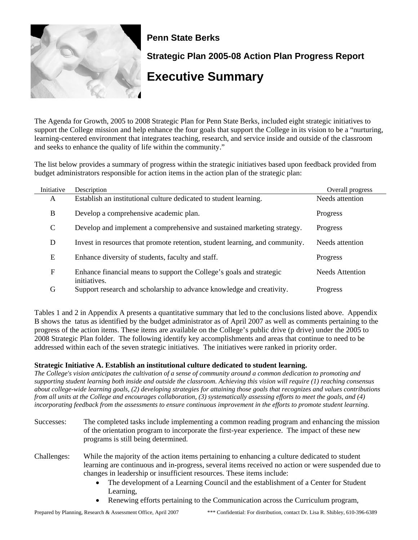

## **Penn State Berks**

**Strategic Plan 2005-08 Action Plan Progress Report** 

# **Executive Summary**

The Agenda for Growth, 2005 to 2008 Strategic Plan for Penn State Berks, included eight strategic initiatives to support the College mission and help enhance the four goals that support the College in its vision to be a "nurturing, learning-centered environment that integrates teaching, research, and service inside and outside of the classroom and seeks to enhance the quality of life within the community."

The list below provides a summary of progress within the strategic initiatives based upon feedback provided from budget administrators responsible for action items in the action plan of the strategic plan:

| Initiative | Description                                                                          | Overall progress |
|------------|--------------------------------------------------------------------------------------|------------------|
| A          | Establish an institutional culture dedicated to student learning.                    | Needs attention  |
| B          | Develop a comprehensive academic plan.                                               | Progress         |
| C          | Develop and implement a comprehensive and sustained marketing strategy.              | Progress         |
| D          | Invest in resources that promote retention, student learning, and community.         | Needs attention  |
| E          | Enhance diversity of students, faculty and staff.                                    | Progress         |
| ${\rm F}$  | Enhance financial means to support the College's goals and strategic<br>initiatives. | Needs Attention  |
| G          | Support research and scholarship to advance knowledge and creativity.                | Progress         |

Tables 1 and 2 in Appendix A presents a quantitative summary that led to the conclusions listed above. Appendix B shows the tatus as identified by the budget administrator as of April 2007 as well as comments pertaining to the progress of the action items. These items are available on the College's public drive (p drive) under the 2005 to 2008 Strategic Plan folder. The following identify key accomplishments and areas that continue to need to be addressed within each of the seven strategic initiatives. The initiatives were ranked in priority order.

### **Strategic Initiative A. Establish an institutional culture dedicated to student learning.**

*The College's vision anticipates the cultivation of a sense of community around a common dedication to promoting and supporting student learning both inside and outside the classroom. Achieving this vision will require (1) reaching consensus about college-wide learning goals, (2) developing strategies for attaining those goals that recognizes and values contributions from all units at the College and encourages collaboration, (3) systematically assessing efforts to meet the goals, and (4) incorporating feedback from the assessments to ensure continuous improvement in the efforts to promote student learning.*

- Successes: The completed tasks include implementing a common reading program and enhancing the mission of the orientation program to incorporate the first-year experience. The impact of these new programs is still being determined.
- Challenges: While the majority of the action items pertaining to enhancing a culture dedicated to student learning are continuous and in-progress, several items received no action or were suspended due to changes in leadership or insufficient resources. These items include:
	- The development of a Learning Council and the establishment of a Center for Student Learning,
	- Renewing efforts pertaining to the Communication across the Curriculum program,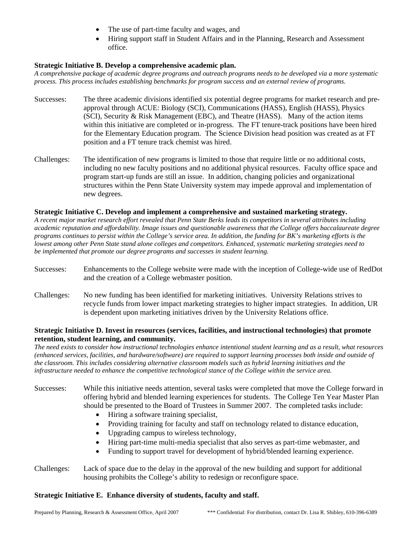- The use of part-time faculty and wages, and
- Hiring support staff in Student Affairs and in the Planning, Research and Assessment office.

#### **Strategic Initiative B. Develop a comprehensive academic plan.**

*A comprehensive package of academic degree programs and outreach programs needs to be developed via a more systematic process. This process includes establishing benchmarks for program success and an external review of programs.*

- Successes: The three academic divisions identified six potential degree programs for market research and preapproval through ACUE: Biology (SCI), Communications (HASS), English (HASS), Physics (SCI), Security & Risk Management (EBC), and Theatre (HASS). Many of the action items within this initiative are completed or in-progress. The FT tenure-track positions have been hired for the Elementary Education program. The Science Division head position was created as at FT position and a FT tenure track chemist was hired.
- Challenges: The identification of new programs is limited to those that require little or no additional costs, including no new faculty positions and no additional physical resources. Faculty office space and program start-up funds are still an issue. In addition, changing policies and organizational structures within the Penn State University system may impede approval and implementation of new degrees.

#### **Strategic Initiative C. Develop and implement a comprehensive and sustained marketing strategy.**

*A recent major market research effort revealed that Penn State Berks leads its competitors in several attributes including academic reputation and affordability. Image issues and questionable awareness that the College offers baccalaureate degree programs continues to persist within the College's service area. In addition, the funding for BK's marketing efforts is the lowest among other Penn State stand alone colleges and competitors. Enhanced, systematic marketing strategies need to be implemented that promote our degree programs and successes in student learning.*

- Successes: Enhancements to the College website were made with the inception of College-wide use of RedDot and the creation of a College webmaster position.
- Challenges: No new funding has been identified for marketing initiatives. University Relations strives to recycle funds from lower impact marketing strategies to higher impact strategies. In addition, UR is dependent upon marketing initiatives driven by the University Relations office.

#### **Strategic Initiative D. Invest in resources (services, facilities, and instructional technologies) that promote retention, student learning, and community.**

*The need exists to consider how instructional technologies enhance intentional student learning and as a result, what resources (enhanced services, facilities, and hardware/software) are required to support learning processes both inside and outside of the classroom. This includes considering alternative classroom models such as hybrid learning initiatives and the infrastructure needed to enhance the competitive technological stance of the College within the service area.*

Successes: While this initiative needs attention, several tasks were completed that move the College forward in offering hybrid and blended learning experiences for students. The College Ten Year Master Plan should be presented to the Board of Trustees in Summer 2007. The completed tasks include:

- Hiring a software training specialist,
- Providing training for faculty and staff on technology related to distance education,
- Upgrading campus to wireless technology,
- Hiring part-time multi-media specialist that also serves as part-time webmaster, and
- Funding to support travel for development of hybrid/blended learning experience.
- Challenges: Lack of space due to the delay in the approval of the new building and support for additional housing prohibits the College's ability to redesign or reconfigure space.

#### **Strategic Initiative E. Enhance diversity of students, faculty and staff.**